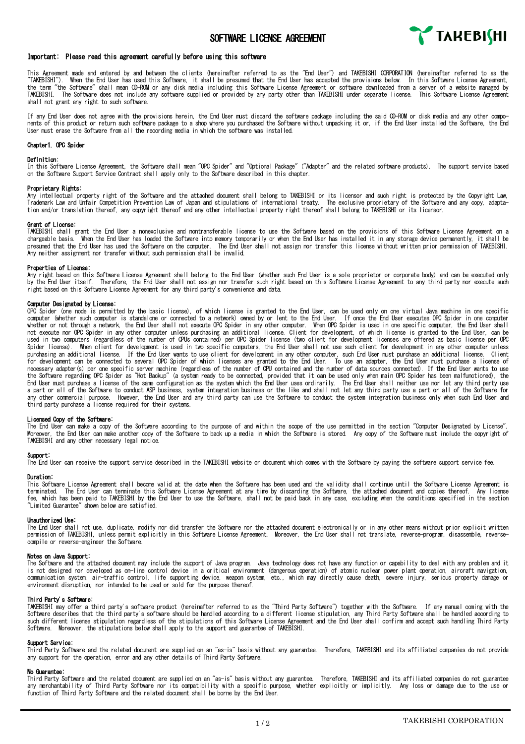

# Important: Please read this agreement carefully before using this software

This Agreement made and entered by and between the clients (hereinafter referred to as the "End User") and TAKEBISHI ODRPORATION (hereinafter referred to as the<br>"TAKEBISHI"). When the End User has used this Software, it sh the term "the Software" shall mean CD-ROM or any disk media including this Software License Agreement or software downloaded from a server of a website managed by<br>TAKFRISHI The Software does not include any software sumpli The Software does not include any software supplied or provided by any party other than TAKEBISHI under separate license. This Software License Agreement shall not grant any right to such software.

If any End User does not agree with the provisions herein, the End User must discard the software package including the said CD-ROM or disk media and any other components of this product or return such software package to a shop where you purchased the Software without unpacking it or, if the End User installed the Software, the End User must erase the Software from all the recording media in which the software was installed.

## Chapter1. OPC Spider

## Definition:

In this Software License Agreement, the Software shall mean "OPC Spider" and "Optional Package" ("Adapter" and the related software products). The support service based on the Software Support Service Contract shall apply only to the Software described in this chapter.

## Proprietary Rights:

Any intellectual property right of the Software and the attached document shall belong to TAKEBISHI or its licensor and such right is protected by the Copyright Law.<br>Trademark Law and Unfair Competition (and of Japan and s

#### Grant of License:

TAKEBISHI shall grant the End User a nonexclusive and nontransferable license to use the Software based on the provisions of this Software License Agreement on a chargeable basis. When the End User has loaded the Software into memory temporarily or when the End User has installed it in any storage device permanently, it shall be presumed that the End User has used the Software on the computer. The End User shall not assign nor transfer this license without written prior permission of TAKEBISHI. Any neither assignment nor transfer without such permission shall be invalid.

## Properties of License:

Any right based on this Software License Agreement shall belong to the End User (whether such End User is a sole proprietor or corporate body) and can be executed only by the End User itself. Therefore, the End User shall not assign nor transfer such right based on this Software License Agreement to any third party nor execute such right based on this Software License Agreement for any third party's convenience and data.

## Computer Designated by License:

OPC Spider (one node is permitted by the basic license), of which license is granted to the End User, can be used only on one virtual Java machine in one specific<br>computer (whether such computer is standalone or connected whether or not through a network, the End User shall not execute OPC Spider in any other computer. When OPC Spider is used in one specific computer, the End User shall not execute nor OPC Spider in any other computer unless purchasing an additional license. Client for development, of which license is granted to the End User, can be<br>used in two computers (regardless of the number of OPUs Spider license). When client for development is used in two specific computers, the End User shall not use such client for development in any other computer unless purchasing an additional license. If the End User wants to use client for development in any other computer, such End User must purchase an additional license. Client<br>for development can be connected to several OPC Spider necessary adapter(s) per one specific server machine (regardless of the number of CPU contained and the number of data sources connected). If the End User wants to use the Software regarding OPC Spider as "Hot Backup" (a system ready to be connected, provided that it can be used only when main OPC Spider has been malfunctioned), the<br>End User must purchase a license of the same configurat a part or all of the Software to conduct ASP business, system integration business or the like and shall not let any third party use a part or all of the Software for any other commercial purpose. However, the End User and any third party can use the Software to conduct the system integration business only when such End User and<br>third party purchase a license required for their systems.

## Licensed Copy of the Software:

The End User can make a copy of the Software according to the purpose of and within the scope of the use permitted in the section "Computer Designated by License".<br>Moreover, the End User can make another copy of the Softwa TAKEBISHI and any other necessary legal notice.

#### Support:

The End User can receive the support service described in the TAKEBISHI website or document which comes with the Software by paying the software support service fee.

## Duration:

This Software License Agreement shall become valid at the date when the Software has been used and the validity shall continue until the Software License Agreement is terminated. The End User can terminate this Software License Agreement at any time by discarding the Software, the attached document and copies thereof. Any license<br>fee, which has been paid to TAKEBISHI by the End User to "Limited Guarantee" shown below are satisfied.

### Unauthorized Use:

The End User shall not use, duplicate, modify nor did transfer the Software nor the attached document electronically or in any other means without prior explicit written permission of TAKEBISHI, unless permit explicitly in this Software License Agreement. Moreover, the End User shall not translate, reverse-program, disassemble, reverse-<br>compile or reverse-engineer the Software.

**Notes on Java Support:**<br>The Software and the attached document may include the support of Java program. Java technology does not have any function or capability to deal with any problem and it is not designed nor developed as on-line control device in a critical environment (dangerous operation) of atomic nuclear power plant operation, aircraft navigation, communication system, air-traffic control, life supporting device, weapon system, etc., which may directly cause death, severe injury, serious property damage or environment disruption, nor intended to be used or sold for the purpose thereof.

## Third Party's Software:

TAKEBISHI may offer a third party's software product (hereinafter referred to as the "Third Party Software") together with the Software. If any manual coming with the Software describes that the third party's software should be handled according to a different license stipulation, any Third Party Software shall be handled according to such different license stipulation regardless of the stipulations of this Software License Agreement and the End User shall confirm and accept such handling Third Party<br>Software. Moreover, the stipulations below shall app

## Support Service:

.<br>Trd Party Software and the related document are supplied on an "as-is" basis without any guarantee. Therefore, TAKEBISHI and its affiliated companies do not provide any support for the operation, error and any other details of Third Party Software.

## No Guarantee:

Third Party Software and the related document are supplied on an "as-is" basis without any guarantee. Therefore, TAKEBISHI and its affiliated companies do not guarantee any merchantability of Third Party Software nor its compatibility with a specific purpose, whether explicitly or implicitly. Any loss or damage due to the use or<br>function of Third Party Software and the related document sh